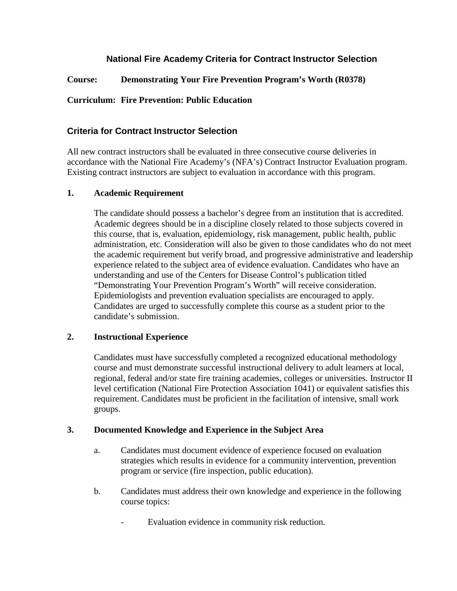# **National Fire Academy Criteria for Contract Instructor Selection**

**Course: Demonstrating Your Fire Prevention Program's Worth (R0378)**

## **Curriculum: Fire Prevention: Public Education**

### **Criteria for Contract Instructor Selection**

All new contract instructors shall be evaluated in three consecutive course deliveries in accordance with the National Fire Academy's (NFA's) Contract Instructor Evaluation program. Existing contract instructors are subject to evaluation in accordance with this program.

#### **1. Academic Requirement**

The candidate should possess a bachelor's degree from an institution that is accredited. Academic degrees should be in a discipline closely related to those subjects covered in this course, that is, evaluation, epidemiology, risk management, public health, public administration, etc. Consideration will also be given to those candidates who do not meet the academic requirement but verify broad, and progressive administrative and leadership experience related to the subject area of evidence evaluation. Candidates who have an understanding and use of the Centers for Disease Control's publication titled "Demonstrating Your Prevention Program's Worth" will receive consideration. Epidemiologists and prevention evaluation specialists are encouraged to apply. Candidates are urged to successfully complete this course as a student prior to the candidate's submission.

### **2. Instructional Experience**

Candidates must have successfully completed a recognized educational methodology course and must demonstrate successful instructional delivery to adult learners at local, regional, federal and/or state fire training academies, colleges or universities. Instructor II level certification (National Fire Protection Association 1041) or equivalent satisfies this requirement. Candidates must be proficient in the facilitation of intensive, small work groups.

### **3. Documented Knowledge and Experience in the Subject Area**

- a. Candidates must document evidence of experience focused on evaluation strategies which results in evidence for a community intervention, prevention program or service (fire inspection, public education).
- b. Candidates must address their own knowledge and experience in the following course topics:
	- Evaluation evidence in community risk reduction.